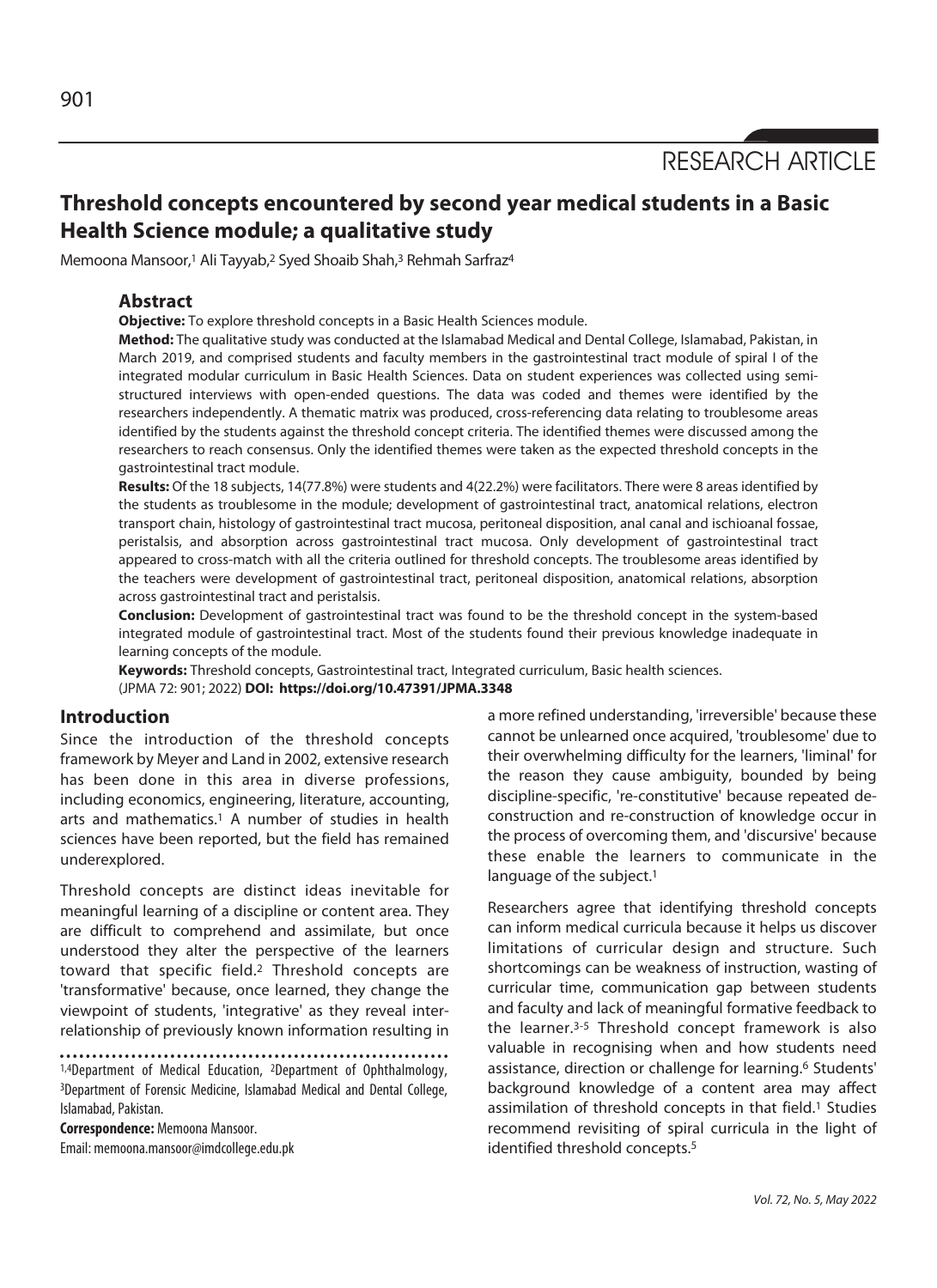RESEARCH ARTICLE

# **Threshold concepts encountered by second year medical students in a Basic Health Science module; a qualitative study**

Memoona Mansoor,<sup>1</sup> Ali Tayyab,<sup>2</sup> Syed Shoaib Shah,<sup>3</sup> Rehmah Sarfraz<sup>4</sup>

# **Abstract**

**Objective:** To explore threshold concepts in a Basic Health Sciences module.

**Method:** The qualitative study was conducted at the Islamabad Medical and Dental College, Islamabad, Pakistan, in March 2019, and comprised students and faculty members in the gastrointestinal tract module of spiral I of the integrated modular curriculum in Basic Health Sciences. Data on student experiences was collected using semistructured interviews with open-ended questions. The data was coded and themes were identified by the researchers independently. A thematic matrix was produced, cross-referencing data relating to troublesome areas identified by the students against the threshold concept criteria. The identified themes were discussed among the researchers to reach consensus. Only the identified themes were taken as the expected threshold concepts in the gastrointestinal tract module.

**Results:** Of the 18 subjects, 14(77.8%) were students and 4(22.2%) were facilitators. There were 8 areas identified by the students as troublesome in the module; development of gastrointestinal tract, anatomical relations, electron transport chain, histology of gastrointestinal tract mucosa, peritoneal disposition, anal canal and ischioanal fossae, peristalsis, and absorption across gastrointestinal tract mucosa. Only development of gastrointestinal tract appeared to cross-match with all the criteria outlined for threshold concepts. The troublesome areas identified by the teachers were development of gastrointestinal tract, peritoneal disposition, anatomical relations, absorption across gastrointestinal tract and peristalsis.

**Conclusion:** Development of gastrointestinal tract was found to be the threshold concept in the system-based integrated module of gastrointestinal tract. Most of the students found their previous knowledge inadequate in learning concepts of the module.

**Keywords:** Threshold concepts, Gastrointestinal tract, Integrated curriculum, Basic health sciences. (JPMA 72: 901; 2022) **DOI: https://doi.org/10.47391/JPMA.3348** 

### **Introduction**

Since the introduction of the threshold concepts framework by Meyer and Land in 2002, extensive research has been done in this area in diverse professions, including economics, engineering, literature, accounting, arts and mathematics.<sup>1</sup> A number of studies in health sciences have been reported, but the field has remained underexplored.

Threshold concepts are distinct ideas inevitable for meaningful learning of a discipline or content area. They are difficult to comprehend and assimilate, but once understood they alter the perspective of the learners toward that specific field.2 Threshold concepts are 'transformative' because, once learned, they change the viewpoint of students, 'integrative' as they reveal interrelationship of previously known information resulting in

1,4Department of Medical Education, 2Department of Ophthalmology, 3Department of Forensic Medicine, Islamabad Medical and Dental College, Islamabad, Pakistan.

**Correspondence:** Memoona Mansoor.

Email: memoona.mansoor@imdcollege.edu.pk

a more refined understanding, 'irreversible' because these cannot be unlearned once acquired, 'troublesome' due to their overwhelming difficulty for the learners, 'liminal' for the reason they cause ambiguity, bounded by being discipline-specific, 're-constitutive' because repeated deconstruction and re-construction of knowledge occur in the process of overcoming them, and 'discursive' because these enable the learners to communicate in the language of the subject.<sup>1</sup>

Researchers agree that identifying threshold concepts can inform medical curricula because it helps us discover limitations of curricular design and structure. Such shortcomings can be weakness of instruction, wasting of curricular time, communication gap between students and faculty and lack of meaningful formative feedback to the learner.3-5 Threshold concept framework is also valuable in recognising when and how students need assistance, direction or challenge for learning.6 Students' background knowledge of a content area may affect assimilation of threshold concepts in that field.<sup>1</sup> Studies recommend revisiting of spiral curricula in the light of identified threshold concepts.5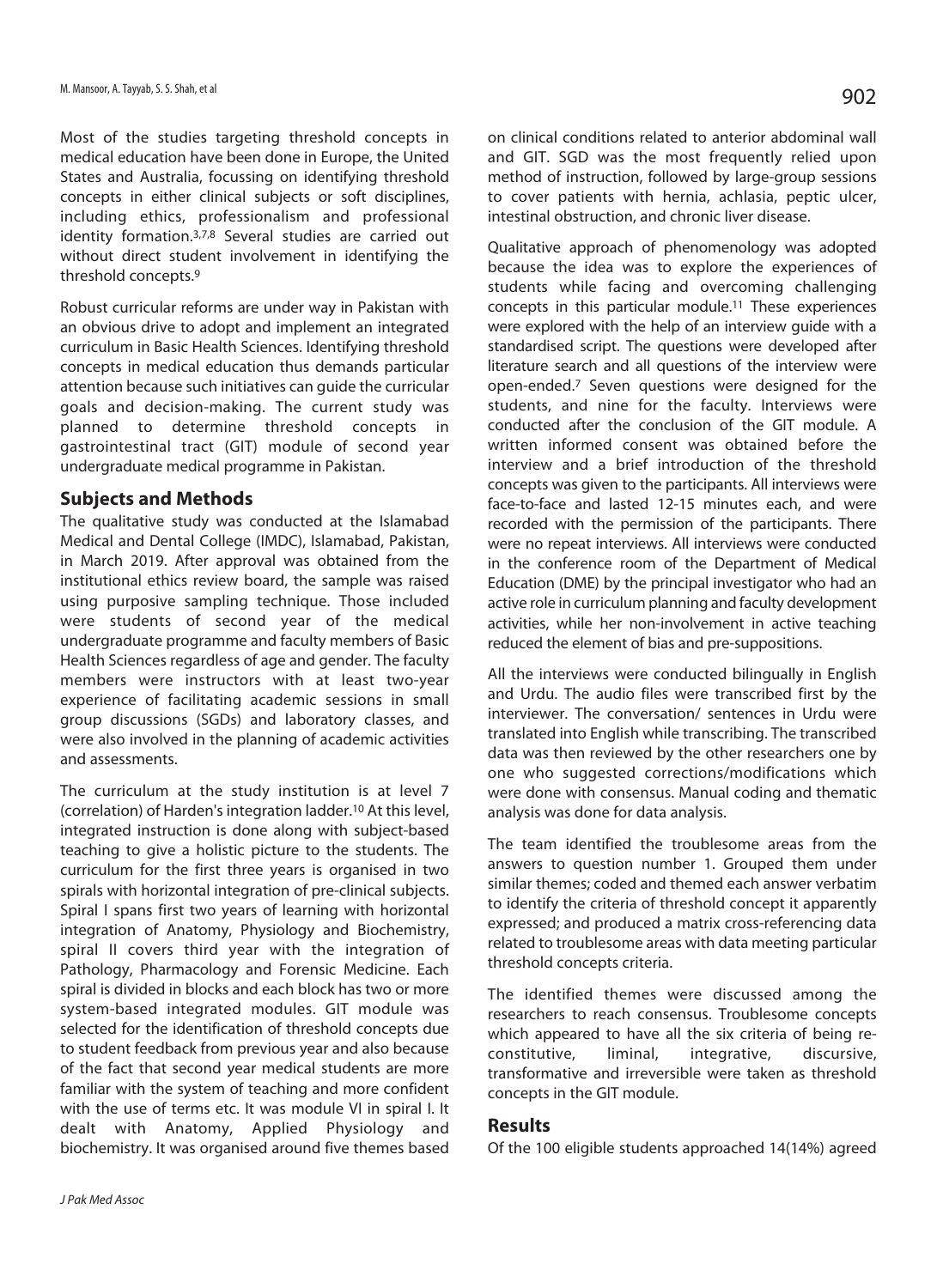Most of the studies targeting threshold concepts in medical education have been done in Europe, the United States and Australia, focussing on identifying threshold concepts in either clinical subjects or soft disciplines, including ethics, professionalism and professional identity formation.3,7,8 Several studies are carried out without direct student involvement in identifying the threshold concepts.9

Robust curricular reforms are under way in Pakistan with an obvious drive to adopt and implement an integrated curriculum in Basic Health Sciences. Identifying threshold concepts in medical education thus demands particular attention because such initiatives can guide the curricular goals and decision-making. The current study was planned to determine threshold concepts in gastrointestinal tract (GIT) module of second year undergraduate medical programme in Pakistan.

## **Subjects and Methods**

The qualitative study was conducted at the Islamabad Medical and Dental College (IMDC), Islamabad, Pakistan, in March 2019. After approval was obtained from the institutional ethics review board, the sample was raised using purposive sampling technique. Those included were students of second year of the medical undergraduate programme and faculty members of Basic Health Sciences regardless of age and gender. The faculty members were instructors with at least two-year experience of facilitating academic sessions in small group discussions (SGDs) and laboratory classes, and were also involved in the planning of academic activities and assessments.

The curriculum at the study institution is at level 7 (correlation) of Harden's integration ladder.10 At this level, integrated instruction is done along with subject-based teaching to give a holistic picture to the students. The curriculum for the first three years is organised in two spirals with horizontal integration of pre-clinical subjects. Spiral I spans first two years of learning with horizontal integration of Anatomy, Physiology and Biochemistry, spiral II covers third year with the integration of Pathology, Pharmacology and Forensic Medicine. Each spiral is divided in blocks and each block has two or more system-based integrated modules. GIT module was selected for the identification of threshold concepts due to student feedback from previous year and also because of the fact that second year medical students are more familiar with the system of teaching and more confident with the use of terms etc. It was module VI in spiral I. It dealt with Anatomy, Applied Physiology and biochemistry. It was organised around five themes based

on clinical conditions related to anterior abdominal wall and GIT. SGD was the most frequently relied upon method of instruction, followed by large-group sessions to cover patients with hernia, achlasia, peptic ulcer, intestinal obstruction, and chronic liver disease.

Qualitative approach of phenomenology was adopted because the idea was to explore the experiences of students while facing and overcoming challenging concepts in this particular module.11 These experiences were explored with the help of an interview guide with a standardised script. The questions were developed after literature search and all questions of the interview were open-ended.7 Seven questions were designed for the students, and nine for the faculty. Interviews were conducted after the conclusion of the GIT module. A written informed consent was obtained before the interview and a brief introduction of the threshold concepts was given to the participants. All interviews were face-to-face and lasted 12-15 minutes each, and were recorded with the permission of the participants. There were no repeat interviews. All interviews were conducted in the conference room of the Department of Medical Education (DME) by the principal investigator who had an active role in curriculum planning and faculty development activities, while her non-involvement in active teaching reduced the element of bias and pre-suppositions.

All the interviews were conducted bilingually in English and Urdu. The audio files were transcribed first by the interviewer. The conversation/ sentences in Urdu were translated into English while transcribing. The transcribed data was then reviewed by the other researchers one by one who suggested corrections/modifications which were done with consensus. Manual coding and thematic analysis was done for data analysis.

The team identified the troublesome areas from the answers to question number 1. Grouped them under similar themes; coded and themed each answer verbatim to identify the criteria of threshold concept it apparently expressed; and produced a matrix cross-referencing data related to troublesome areas with data meeting particular threshold concepts criteria.

The identified themes were discussed among the researchers to reach consensus. Troublesome concepts which appeared to have all the six criteria of being reconstitutive, liminal, integrative, discursive, transformative and irreversible were taken as threshold concepts in the GIT module.

# **Results**

Of the 100 eligible students approached 14(14%) agreed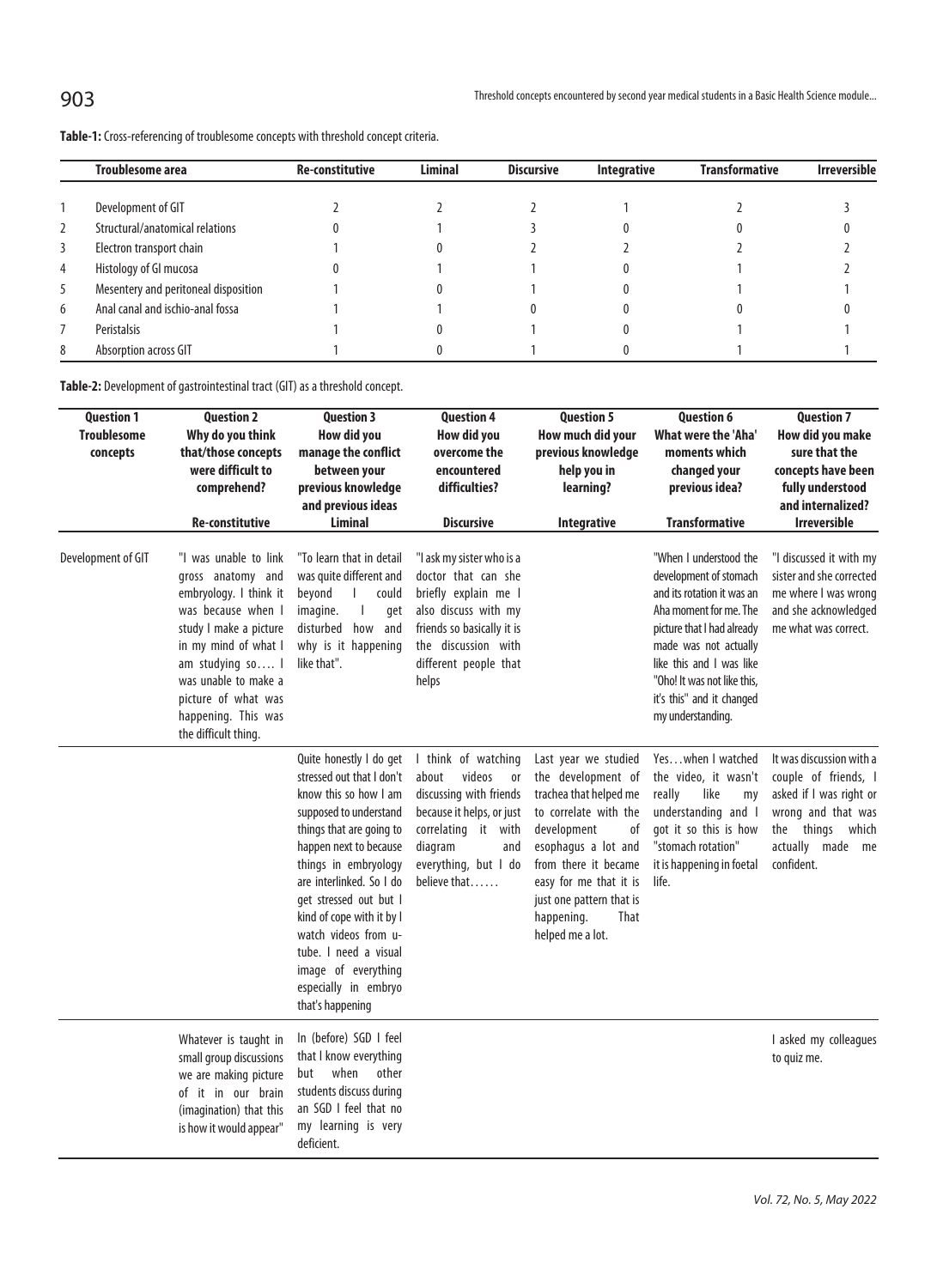|   | <b>Troublesome area</b>              | <b>Re-constitutive</b> | <b>Liminal</b> | <b>Discursive</b> | <b>Integrative</b> | <b>Transformative</b> | <b>Irreversible</b> |
|---|--------------------------------------|------------------------|----------------|-------------------|--------------------|-----------------------|---------------------|
|   | Development of GIT                   |                        |                |                   |                    |                       |                     |
| 2 | Structural/anatomical relations      |                        |                |                   |                    |                       |                     |
|   | Electron transport chain             |                        |                |                   |                    |                       |                     |
| 4 | Histology of Gl mucosa               |                        |                |                   |                    |                       |                     |
| 5 | Mesentery and peritoneal disposition |                        |                |                   |                    |                       |                     |
| 6 | Anal canal and ischio-anal fossa     |                        |                |                   |                    |                       |                     |
|   | Peristalsis                          |                        |                |                   |                    |                       |                     |
| 8 | Absorption across GIT                |                        |                |                   |                    |                       |                     |

**Table-1:** Cross-referencing of troublesome concepts with threshold concept criteria.

**Table-2:** Development of gastrointestinal tract (GIT) as a threshold concept.

| <b>Question 1</b><br><b>Troublesome</b><br>concepts | <b>Question 2</b><br>Why do you think<br>that/those concepts<br>were difficult to<br>comprehend?                                                                                                                                                               | <b>Question 3</b><br>How did you<br>manage the conflict<br>between your<br>previous knowledge<br>and previous ideas                                                                                                                                                                                                                                                                          | <b>Question 4</b><br>How did you<br>overcome the<br>encountered<br>difficulties?                                                                                                                 | <b>Question 5</b><br>How much did your<br>previous knowledge<br>help you in<br>learning?                                                                                                                                                                          | <b>Question 6</b><br>What were the 'Aha'<br>moments which<br>changed your<br>previous idea?                                                                                                                                                                                  | <b>Question 7</b><br>How did you make<br>sure that the<br>concepts have been<br>fully understood<br>and internalized?                                      |
|-----------------------------------------------------|----------------------------------------------------------------------------------------------------------------------------------------------------------------------------------------------------------------------------------------------------------------|----------------------------------------------------------------------------------------------------------------------------------------------------------------------------------------------------------------------------------------------------------------------------------------------------------------------------------------------------------------------------------------------|--------------------------------------------------------------------------------------------------------------------------------------------------------------------------------------------------|-------------------------------------------------------------------------------------------------------------------------------------------------------------------------------------------------------------------------------------------------------------------|------------------------------------------------------------------------------------------------------------------------------------------------------------------------------------------------------------------------------------------------------------------------------|------------------------------------------------------------------------------------------------------------------------------------------------------------|
|                                                     | Re-constitutive                                                                                                                                                                                                                                                | <b>Liminal</b>                                                                                                                                                                                                                                                                                                                                                                               | <b>Discursive</b>                                                                                                                                                                                | <b>Integrative</b>                                                                                                                                                                                                                                                | <b>Transformative</b>                                                                                                                                                                                                                                                        | <b>Irreversible</b>                                                                                                                                        |
| Development of GIT                                  | "I was unable to link<br>gross anatomy and<br>embryology. I think it<br>was because when I<br>study I make a picture<br>in my mind of what I<br>am studying so  <br>was unable to make a<br>picture of what was<br>happening. This was<br>the difficult thing. | "To learn that in detail<br>was quite different and<br>beyond<br>could<br>imagine.<br>get<br>how and<br>disturbed<br>why is it happening<br>like that".                                                                                                                                                                                                                                      | "I ask my sister who is a<br>doctor that can she<br>briefly explain me I<br>also discuss with my<br>friends so basically it is<br>the discussion with<br>different people that<br>helps          |                                                                                                                                                                                                                                                                   | "When I understood the<br>development of stomach<br>and its rotation it was an<br>Aha moment for me. The<br>picture that I had already<br>made was not actually<br>like this and I was like<br>"Oho! It was not like this.<br>it's this" and it changed<br>my understanding. | "I discussed it with my<br>sister and she corrected<br>me where I was wrong<br>and she acknowledged<br>me what was correct.                                |
|                                                     |                                                                                                                                                                                                                                                                | Quite honestly I do get<br>stressed out that I don't<br>know this so how I am<br>supposed to understand<br>things that are going to<br>happen next to because<br>things in embryology<br>are interlinked. So I do<br>get stressed out but I<br>kind of cope with it by I<br>watch videos from u-<br>tube. I need a visual<br>image of everything<br>especially in embryo<br>that's happening | I think of watching<br>about<br>videos<br><sub>or</sub><br>discussing with friends<br>because it helps, or just<br>correlating it with<br>diagram<br>and<br>everything, but I do<br>believe that | Last year we studied<br>the development of<br>trachea that helped me<br>to correlate with the<br>development<br>0f<br>esophagus a lot and<br>from there it became<br>easy for me that it is<br>just one pattern that is<br>happening.<br>That<br>helped me a lot. | Yeswhen I watched<br>the video, it wasn't<br>like<br>really<br>my<br>understanding and I<br>got it so this is how<br>"stomach rotation"<br>it is happening in foetal<br>life.                                                                                                | It was discussion with a<br>couple of friends, I<br>asked if I was right or<br>wrong and that was<br>the things<br>which<br>actually made me<br>confident. |
|                                                     | Whatever is taught in<br>small group discussions<br>we are making picture<br>of it in our brain<br>(imagination) that this<br>is how it would appear"                                                                                                          | In (before) SGD I feel<br>that I know everything<br>other<br>but<br>when<br>students discuss during<br>an SGD I feel that no<br>my learning is very<br>deficient.                                                                                                                                                                                                                            |                                                                                                                                                                                                  |                                                                                                                                                                                                                                                                   |                                                                                                                                                                                                                                                                              | I asked my colleagues<br>to quiz me.                                                                                                                       |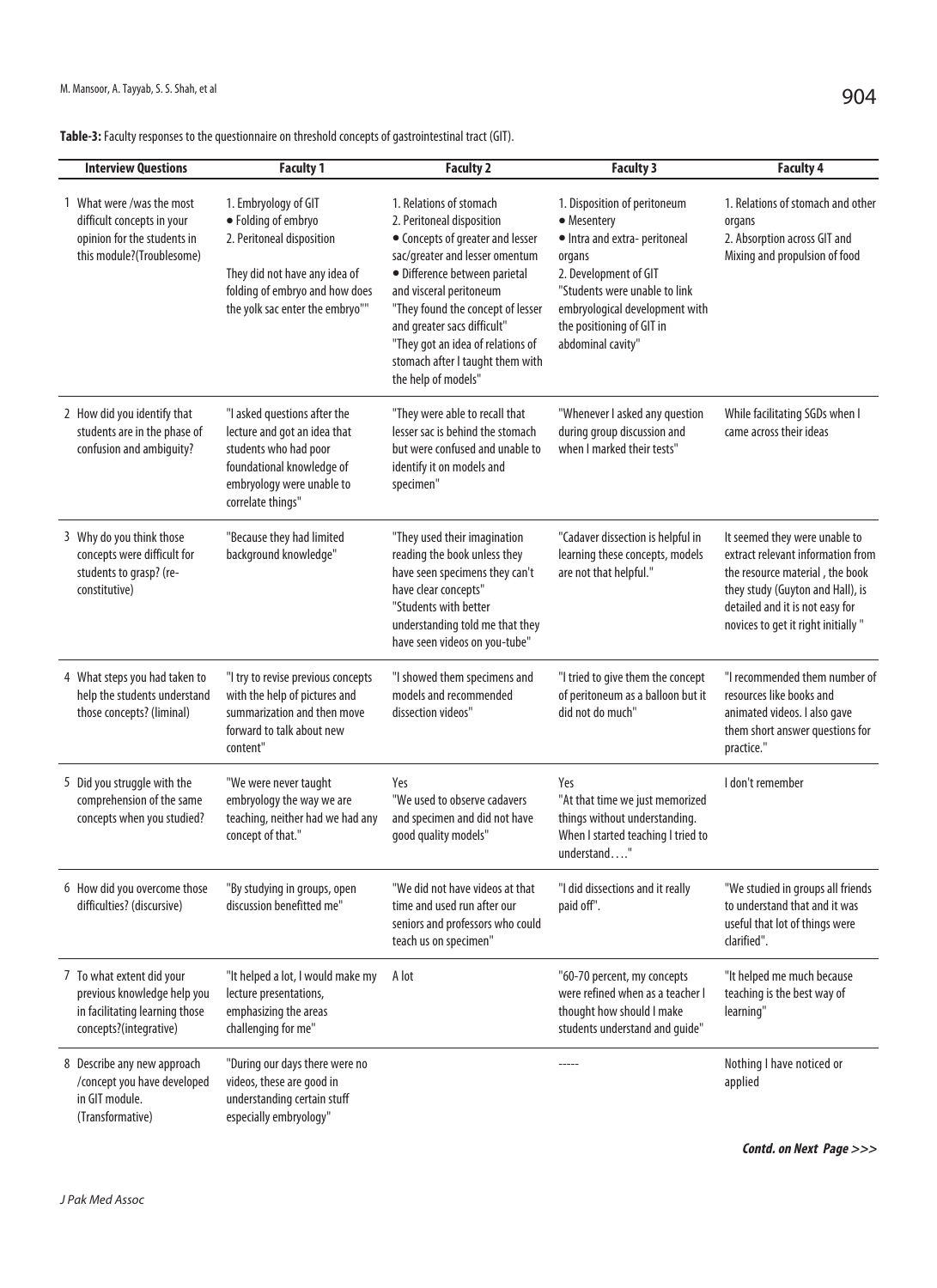| Table-3: Faculty responses to the questionnaire on threshold concepts of gastrointestinal tract (GIT). |  |  |
|--------------------------------------------------------------------------------------------------------|--|--|
|--------------------------------------------------------------------------------------------------------|--|--|

| <b>Interview Questions</b>                                                                                           | <b>Faculty 1</b>                                                                                                                                                               | <b>Faculty 2</b>                                                                                                                                                                                                                                                                                                                                           | <b>Faculty 3</b>                                                                                                                                                                                                                    | <b>Faculty 4</b>                                                                                                                                                                                                    |
|----------------------------------------------------------------------------------------------------------------------|--------------------------------------------------------------------------------------------------------------------------------------------------------------------------------|------------------------------------------------------------------------------------------------------------------------------------------------------------------------------------------------------------------------------------------------------------------------------------------------------------------------------------------------------------|-------------------------------------------------------------------------------------------------------------------------------------------------------------------------------------------------------------------------------------|---------------------------------------------------------------------------------------------------------------------------------------------------------------------------------------------------------------------|
| 1 What were /was the most<br>difficult concepts in your<br>opinion for the students in<br>this module?(Troublesome)  | 1. Embryology of GIT<br>· Folding of embryo<br>2. Peritoneal disposition<br>They did not have any idea of<br>folding of embryo and how does<br>the yolk sac enter the embryo"" | 1. Relations of stomach<br>2. Peritoneal disposition<br>• Concepts of greater and lesser<br>sac/greater and lesser omentum<br>· Difference between parietal<br>and visceral peritoneum<br>"They found the concept of lesser<br>and greater sacs difficult"<br>"They got an idea of relations of<br>stomach after I taught them with<br>the help of models" | 1. Disposition of peritoneum<br>• Mesentery<br>· Intra and extra-peritoneal<br>organs<br>2. Development of GIT<br>"Students were unable to link<br>embryological development with<br>the positioning of GIT in<br>abdominal cavity" | 1. Relations of stomach and other<br>organs<br>2. Absorption across GIT and<br>Mixing and propulsion of food                                                                                                        |
| 2 How did you identify that<br>students are in the phase of<br>confusion and ambiguity?                              | "I asked questions after the<br>lecture and got an idea that<br>students who had poor<br>foundational knowledge of<br>embryology were unable to<br>correlate things"           | "They were able to recall that<br>lesser sac is behind the stomach<br>but were confused and unable to<br>identify it on models and<br>specimen"                                                                                                                                                                                                            | "Whenever I asked any question<br>during group discussion and<br>when I marked their tests"                                                                                                                                         | While facilitating SGDs when I<br>came across their ideas                                                                                                                                                           |
| 3 Why do you think those<br>concepts were difficult for<br>students to grasp? (re-<br>constitutive)                  | "Because they had limited<br>background knowledge"                                                                                                                             | "They used their imagination<br>reading the book unless they<br>have seen specimens they can't<br>have clear concepts"<br>"Students with better<br>understanding told me that they<br>have seen videos on you-tube"                                                                                                                                        | "Cadaver dissection is helpful in<br>learning these concepts, models<br>are not that helpful."                                                                                                                                      | It seemed they were unable to<br>extract relevant information from<br>the resource material, the book<br>they study (Guyton and Hall), is<br>detailed and it is not easy for<br>novices to get it right initially " |
| 4 What steps you had taken to<br>help the students understand<br>those concepts? (liminal)                           | "I try to revise previous concepts<br>with the help of pictures and<br>summarization and then move<br>forward to talk about new<br>content"                                    | "I showed them specimens and<br>models and recommended<br>dissection videos"                                                                                                                                                                                                                                                                               | "I tried to give them the concept<br>of peritoneum as a balloon but it<br>did not do much"                                                                                                                                          | "I recommended them number of<br>resources like books and<br>animated videos. I also gave<br>them short answer questions for<br>practice."                                                                          |
| 5 Did you struggle with the<br>comprehension of the same<br>concepts when you studied?                               | "We were never taught<br>embryology the way we are<br>teaching, neither had we had any<br>concept of that."                                                                    | Yes<br>"We used to observe cadavers<br>and specimen and did not have<br>qood quality models"                                                                                                                                                                                                                                                               | Yes<br>"At that time we just memorized<br>things without understanding.<br>When I started teaching I tried to<br>understand"                                                                                                        | I don't remember                                                                                                                                                                                                    |
| 6 How did you overcome those<br>difficulties? (discursive)                                                           | "By studying in groups, open<br>discussion benefitted me"                                                                                                                      | "We did not have videos at that<br>time and used run after our<br>seniors and professors who could<br>teach us on specimen"                                                                                                                                                                                                                                | "I did dissections and it really<br>paid off".                                                                                                                                                                                      | "We studied in groups all friends<br>to understand that and it was<br>useful that lot of things were<br>clarified".                                                                                                 |
| 7 To what extent did your<br>previous knowledge help you<br>in facilitating learning those<br>concepts?(integrative) | "It helped a lot, I would make my<br>lecture presentations,<br>emphasizing the areas<br>challenging for me"                                                                    | A lot                                                                                                                                                                                                                                                                                                                                                      | "60-70 percent, my concepts<br>were refined when as a teacher I<br>thought how should I make<br>students understand and guide"                                                                                                      | "It helped me much because<br>teaching is the best way of<br>learning"                                                                                                                                              |
| 8 Describe any new approach<br>/concept you have developed<br>in GIT module.<br>(Transformative)                     | "During our days there were no<br>videos, these are good in<br>understanding certain stuff<br>especially embryology"                                                           |                                                                                                                                                                                                                                                                                                                                                            |                                                                                                                                                                                                                                     | Nothing I have noticed or<br>applied                                                                                                                                                                                |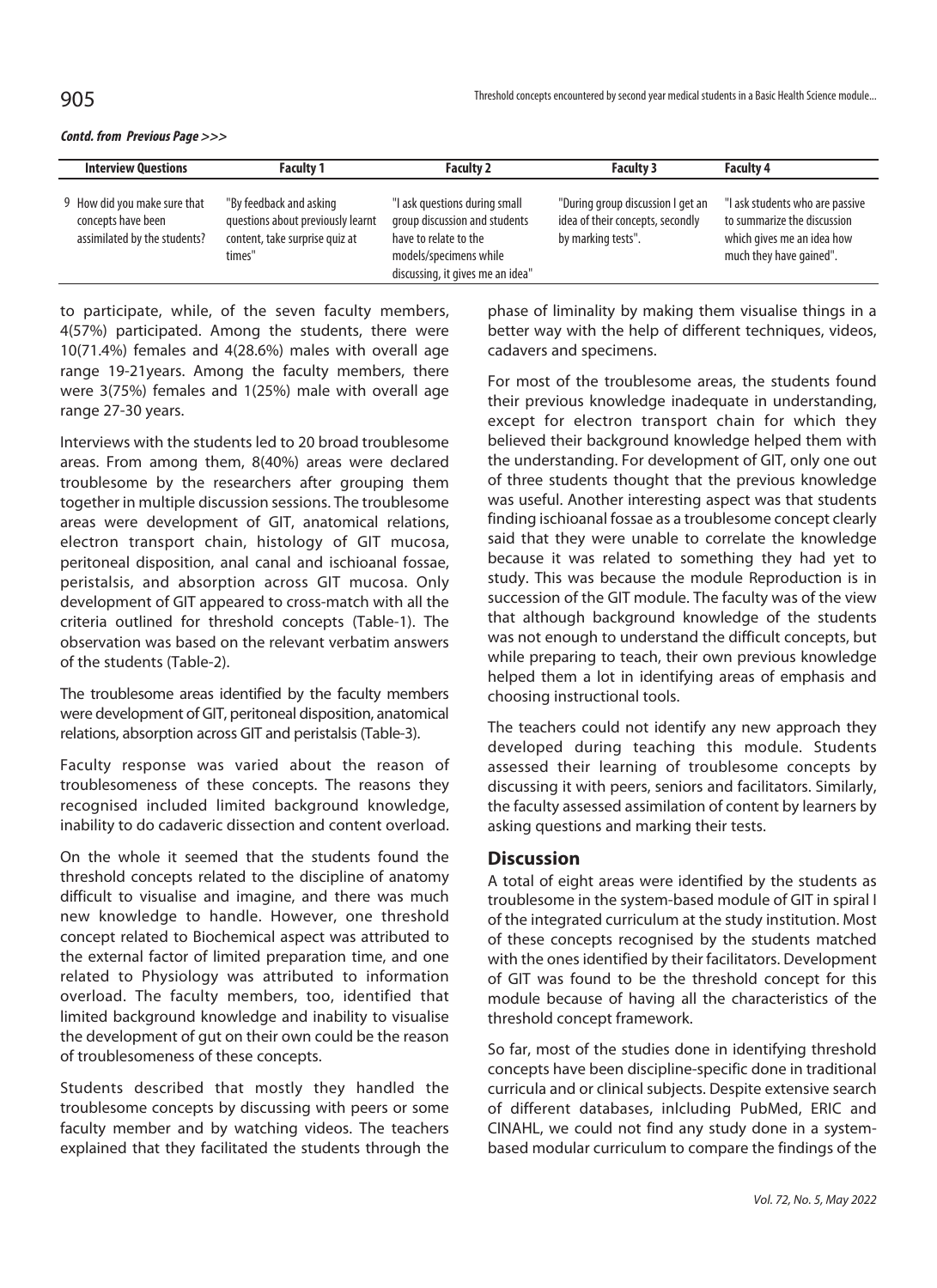#### **Contd. from Previous Page >>>**

| <b>Interview Questions</b>                                                         | <b>Faculty 1</b>                                                                                         | <b>Faculty 2</b>                                                                                                                                      | <b>Faculty 3</b>                                                                            | <b>Faculty 4</b>                                                                                                        |
|------------------------------------------------------------------------------------|----------------------------------------------------------------------------------------------------------|-------------------------------------------------------------------------------------------------------------------------------------------------------|---------------------------------------------------------------------------------------------|-------------------------------------------------------------------------------------------------------------------------|
| 9 How did you make sure that<br>concepts have been<br>assimilated by the students? | "By feedback and asking<br>questions about previously learnt<br>content, take surprise quiz at<br>times" | "I ask questions during small<br>group discussion and students<br>have to relate to the<br>models/specimens while<br>discussing, it gives me an idea" | "During group discussion I get an<br>idea of their concepts, secondly<br>by marking tests". | "I ask students who are passive<br>to summarize the discussion<br>which gives me an idea how<br>much they have gained". |

to participate, while, of the seven faculty members, 4(57%) participated. Among the students, there were 10(71.4%) females and 4(28.6%) males with overall age range 19-21years. Among the faculty members, there were 3(75%) females and 1(25%) male with overall age range 27-30 years.

Interviews with the students led to 20 broad troublesome areas. From among them, 8(40%) areas were declared troublesome by the researchers after grouping them together in multiple discussion sessions. The troublesome areas were development of GIT, anatomical relations, electron transport chain, histology of GIT mucosa, peritoneal disposition, anal canal and ischioanal fossae, peristalsis, and absorption across GIT mucosa. Only development of GIT appeared to cross-match with all the criteria outlined for threshold concepts (Table-1). The observation was based on the relevant verbatim answers of the students (Table-2).

The troublesome areas identified by the faculty members were development of GIT, peritoneal disposition, anatomical relations, absorption across GIT and peristalsis (Table-3).

Faculty response was varied about the reason of troublesomeness of these concepts. The reasons they recognised included limited background knowledge, inability to do cadaveric dissection and content overload.

On the whole it seemed that the students found the threshold concepts related to the discipline of anatomy difficult to visualise and imagine, and there was much new knowledge to handle. However, one threshold concept related to Biochemical aspect was attributed to the external factor of limited preparation time, and one related to Physiology was attributed to information overload. The faculty members, too, identified that limited background knowledge and inability to visualise the development of gut on their own could be the reason of troublesomeness of these concepts.

Students described that mostly they handled the troublesome concepts by discussing with peers or some faculty member and by watching videos. The teachers explained that they facilitated the students through the

phase of liminality by making them visualise things in a better way with the help of different techniques, videos, cadavers and specimens.

For most of the troublesome areas, the students found their previous knowledge inadequate in understanding, except for electron transport chain for which they believed their background knowledge helped them with the understanding. For development of GIT, only one out of three students thought that the previous knowledge was useful. Another interesting aspect was that students finding ischioanal fossae as a troublesome concept clearly said that they were unable to correlate the knowledge because it was related to something they had yet to study. This was because the module Reproduction is in succession of the GIT module. The faculty was of the view that although background knowledge of the students was not enough to understand the difficult concepts, but while preparing to teach, their own previous knowledge helped them a lot in identifying areas of emphasis and choosing instructional tools.

The teachers could not identify any new approach they developed during teaching this module. Students assessed their learning of troublesome concepts by discussing it with peers, seniors and facilitators. Similarly, the faculty assessed assimilation of content by learners by asking questions and marking their tests.

# **Discussion**

A total of eight areas were identified by the students as troublesome in the system-based module of GIT in spiral I of the integrated curriculum at the study institution. Most of these concepts recognised by the students matched with the ones identified by their facilitators. Development of GIT was found to be the threshold concept for this module because of having all the characteristics of the threshold concept framework.

So far, most of the studies done in identifying threshold concepts have been discipline-specific done in traditional curricula and or clinical subjects. Despite extensive search of different databases, inlcluding PubMed, ERIC and CINAHL, we could not find any study done in a systembased modular curriculum to compare the findings of the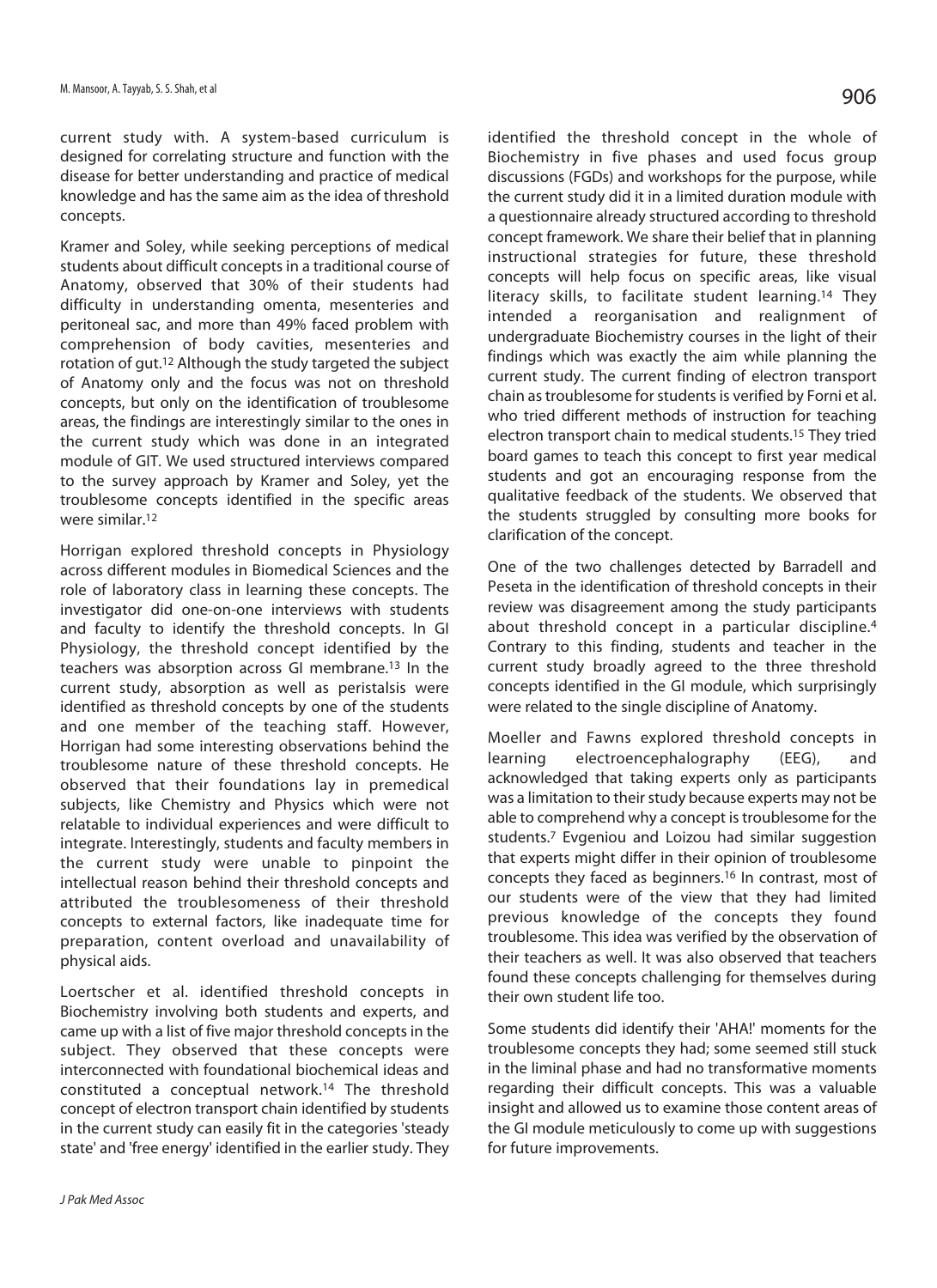current study with. A system-based curriculum is designed for correlating structure and function with the disease for better understanding and practice of medical knowledge and has the same aim as the idea of threshold concepts.

Kramer and Soley, while seeking perceptions of medical students about difficult concepts in a traditional course of Anatomy, observed that 30% of their students had difficulty in understanding omenta, mesenteries and peritoneal sac, and more than 49% faced problem with comprehension of body cavities, mesenteries and rotation of gut.12 Although the study targeted the subject of Anatomy only and the focus was not on threshold concepts, but only on the identification of troublesome areas, the findings are interestingly similar to the ones in the current study which was done in an integrated module of GIT. We used structured interviews compared to the survey approach by Kramer and Soley, yet the troublesome concepts identified in the specific areas were similar.12

Horrigan explored threshold concepts in Physiology across different modules in Biomedical Sciences and the role of laboratory class in learning these concepts. The investigator did one-on-one interviews with students and faculty to identify the threshold concepts. In GI Physiology, the threshold concept identified by the teachers was absorption across GI membrane.13 In the current study, absorption as well as peristalsis were identified as threshold concepts by one of the students and one member of the teaching staff. However, Horrigan had some interesting observations behind the troublesome nature of these threshold concepts. He observed that their foundations lay in premedical subjects, like Chemistry and Physics which were not relatable to individual experiences and were difficult to integrate. Interestingly, students and faculty members in the current study were unable to pinpoint the intellectual reason behind their threshold concepts and attributed the troublesomeness of their threshold concepts to external factors, like inadequate time for preparation, content overload and unavailability of physical aids.

Loertscher et al. identified threshold concepts in Biochemistry involving both students and experts, and came up with a list of five major threshold concepts in the subject. They observed that these concepts were interconnected with foundational biochemical ideas and constituted a conceptual network.14 The threshold concept of electron transport chain identified by students in the current study can easily fit in the categories 'steady state' and 'free energy' identified in the earlier study. They identified the threshold concept in the whole of Biochemistry in five phases and used focus group discussions (FGDs) and workshops for the purpose, while the current study did it in a limited duration module with a questionnaire already structured according to threshold concept framework. We share their belief that in planning instructional strategies for future, these threshold concepts will help focus on specific areas, like visual literacy skills, to facilitate student learning.14 They intended a reorganisation and realignment of undergraduate Biochemistry courses in the light of their findings which was exactly the aim while planning the current study. The current finding of electron transport chain as troublesome for students is verified by Forni et al. who tried different methods of instruction for teaching electron transport chain to medical students.15 They tried board games to teach this concept to first year medical students and got an encouraging response from the qualitative feedback of the students. We observed that the students struggled by consulting more books for clarification of the concept.

One of the two challenges detected by Barradell and Peseta in the identification of threshold concepts in their review was disagreement among the study participants about threshold concept in a particular discipline.4 Contrary to this finding, students and teacher in the current study broadly agreed to the three threshold concepts identified in the GI module, which surprisingly were related to the single discipline of Anatomy.

Moeller and Fawns explored threshold concepts in learning electroencephalography (EEG), and acknowledged that taking experts only as participants was a limitation to their study because experts may not be able to comprehend why a concept is troublesome for the students.7 Evgeniou and Loizou had similar suggestion that experts might differ in their opinion of troublesome concepts they faced as beginners.16 In contrast, most of our students were of the view that they had limited previous knowledge of the concepts they found troublesome. This idea was verified by the observation of their teachers as well. It was also observed that teachers found these concepts challenging for themselves during their own student life too.

Some students did identify their 'AHA!' moments for the troublesome concepts they had; some seemed still stuck in the liminal phase and had no transformative moments regarding their difficult concepts. This was a valuable insight and allowed us to examine those content areas of the GI module meticulously to come up with suggestions for future improvements.